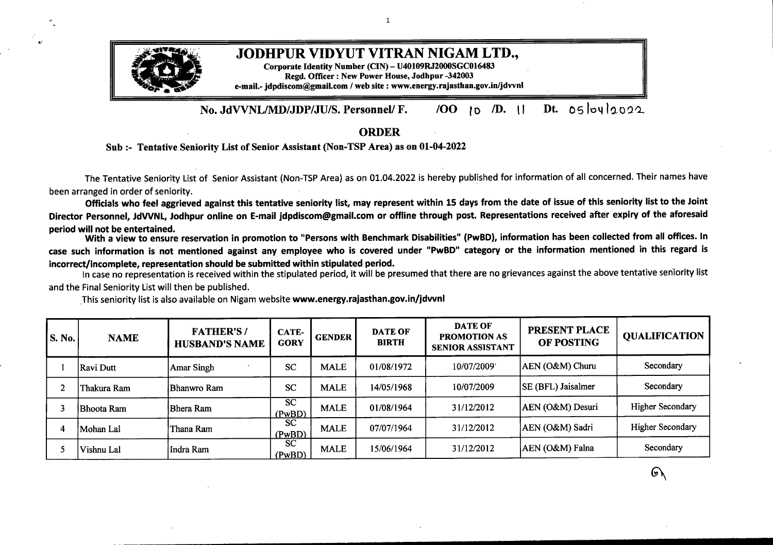

**No. JdVVNL/MD/JDP/JU/S. Personnel/ F.** */OO* to */D.* II **Dt. <sup>o</sup>**6lo4l2020

**ORDER**

## **Sub :- Tentative Seniority List ofSenior Assistant (Non-TSP Area) as on 01-04-2022**

*/*

The Tentative Seniority List of Senior Assistant (Non-TSP Area) as on 01.04.2022 is hereby published for information of all concerned. Their names have been arranged in order of seniority.

Officials who feel aggrieved against this tentative seniority list, may represent within 15 days from the date of issue of this seniority list to the Joint Director Personnel, JdVVNL, Jodhpur online on E-mail jdpdiscom@gmail.com or offline through post. Representations received after expiry of the aforesaid **period will not be entertained.**

With a view to ensure reservation in promotion to "Persons with Benchmark Disabilities" (PwBD), information has been collected from all offices. In case such information is not mentioned against any employee who is covered under "PwBD" category or the information mentioned in this regard is **incorrect/incomplete, representation should be submitted within stipulated period.**

In case no representation is received within the stipulated period, it will be presumed that there are no grievances against the above tentative seniority list and the Final Seniority List will then be published.

| S. No.         | <b>NAME</b>       | <b>FATHER'S/</b><br><b>HUSBAND'S NAME</b> | CATE-<br><b>GORY</b> | <b>GENDER</b> | <b>DATE OF</b><br><b>BIRTH</b> | <b>DATE OF</b><br><b>PROMOTION AS</b><br><b>SENIOR ASSISTANT</b> | <b>PRESENT PLACE</b><br>OF POSTING | <b>QUALIFICATION</b>    |
|----------------|-------------------|-------------------------------------------|----------------------|---------------|--------------------------------|------------------------------------------------------------------|------------------------------------|-------------------------|
|                | Ravi Dutt         | Amar Singh                                | <b>SC</b>            | <b>MALE</b>   | 01/08/1972                     | 10/07/2009                                                       | AEN (O&M) Churu                    | Secondary               |
| $\overline{2}$ | Thakura Ram       | Bhanwro Ram                               | <b>SC</b>            | <b>MALE</b>   | 14/05/1968                     | 10/07/2009                                                       | SE (BFL) Jaisalmer                 | Secondary               |
|                | <b>Bhoota Ram</b> | Bhera Ram                                 | <b>SC</b><br>(PwBD)  | <b>MALE</b>   | 01/08/1964                     | 31/12/2012                                                       | AEN (O&M) Desuri                   | <b>Higher Secondary</b> |
| 4              | Mohan Lal         | Thana Ram                                 | <b>SC</b><br>(PwBD)  | <b>MALE</b>   | 07/07/1964                     | 31/12/2012                                                       | AEN (O&M) Sadri                    | <b>Higher Secondary</b> |
|                | Vishnu Lal        | Indra Ram                                 | <b>SC</b><br>(PwBD)  | <b>MALE</b>   | 15/06/1964                     | 31/12/2012                                                       | AEN (O&M) Falna                    | Secondary               |

This seniority list is also available on Nigam website **www.energy.rajasthan.gov.in/jdvvnl**

6\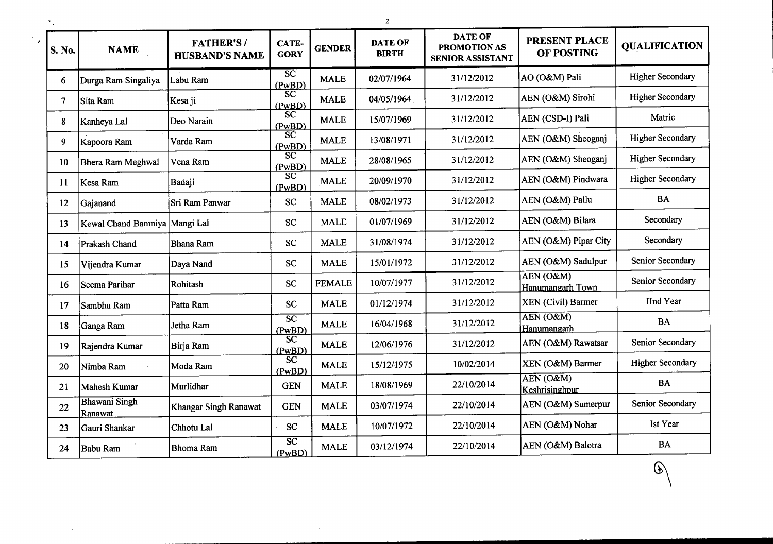| S. No.         | <b>NAME</b>                     | <b>FATHER'S/</b><br><b>HUSBAND'S NAME</b> | <b>CATE-</b><br><b>GORY</b>      | <b>GENDER</b> | <b>DATE OF</b><br><b>BIRTH</b> | <b>DATE OF</b><br>PROMOTION AS<br><b>SENIOR ASSISTANT</b> | PRESENT PLACE<br>OF POSTING   | <b>QUALIFICATION</b>    |
|----------------|---------------------------------|-------------------------------------------|----------------------------------|---------------|--------------------------------|-----------------------------------------------------------|-------------------------------|-------------------------|
| 6              | Durga Ram Singaliya             | Labu Ram                                  | $\overline{SC}$<br>(PwBD)        | <b>MALE</b>   | 02/07/1964                     | 31/12/2012                                                | AO (O&M) Pali                 | <b>Higher Secondary</b> |
| $\overline{7}$ | Sita Ram                        | Kesa ji                                   | $\overline{SC}$<br>(PwBD)        | <b>MALE</b>   | 04/05/1964                     | 31/12/2012                                                | AEN (O&M) Sirohi              | <b>Higher Secondary</b> |
| 8              | Kanheya Lal                     | Deo Narain                                | $\overline{\text{sc}}$<br>(PwBD) | <b>MALE</b>   | 15/07/1969                     | 31/12/2012                                                | AEN (CSD-I) Pali              | Matric                  |
| 9              | Kapoora Ram                     | Varda Ram                                 | $\overline{SC}$<br>(PwBD)        | <b>MALE</b>   | 13/08/1971                     | 31/12/2012                                                | AEN (O&M) Sheoganj            | <b>Higher Secondary</b> |
| 10             | <b>Bhera Ram Meghwal</b>        | Vena Ram                                  | $\overline{SC}$<br>(PwBD)        | <b>MALE</b>   | 28/08/1965                     | 31/12/2012                                                | AEN (O&M) Sheoganj            | <b>Higher Secondary</b> |
| 11             | Kesa Ram                        | Badaji                                    | $\overline{SC}$<br>(PwBD)        | <b>MALE</b>   | 20/09/1970                     | 31/12/2012                                                | AEN (O&M) Pindwara            | <b>Higher Secondary</b> |
| 12             | Gajanand                        | Sri Ram Panwar                            | <b>SC</b>                        | <b>MALE</b>   | 08/02/1973                     | 31/12/2012                                                | AEN (O&M) Pallu               | BA                      |
| 13             | Kewal Chand Bamniya   Mangi Lal |                                           | <b>SC</b>                        | <b>MALE</b>   | 01/07/1969                     | 31/12/2012                                                | AEN (O&M) Bilara              | Secondary               |
| 14             | <b>Prakash Chand</b>            | <b>Bhana Ram</b>                          | <b>SC</b>                        | <b>MALE</b>   | 31/08/1974                     | 31/12/2012                                                | AEN (O&M) Pipar City          | Secondary               |
| 15             | Vijendra Kumar                  | Daya Nand                                 | <b>SC</b>                        | <b>MALE</b>   | 15/01/1972                     | 31/12/2012                                                | AEN (O&M) Sadulpur            | Senior Secondary        |
| 16             | Seema Parihar                   | Rohitash                                  | <b>SC</b>                        | <b>FEMALE</b> | 10/07/1977                     | 31/12/2012                                                | AEN (O&M)<br>Hanumangarh Town | Senior Secondary        |
| 17             | Sambhu Ram                      | Patta Ram                                 | <b>SC</b>                        | <b>MALE</b>   | 01/12/1974                     | 31/12/2012                                                | XEN (Civil) Barmer            | IInd Year               |
| 18             | Ganga Ram                       | Jetha Ram                                 | $\overline{SC}$<br>(PwBD)        | <b>MALE</b>   | 16/04/1968                     | 31/12/2012                                                | AEN (O&M)<br>Hanumangarh      | <b>BA</b>               |
| 19             | Rajendra Kumar                  | Birja Ram                                 | $\overline{SC}$<br>(PwBD)        | <b>MALE</b>   | 12/06/1976                     | 31/12/2012                                                | AEN (O&M) Rawatsar            | Senior Secondary        |
| 20             | Nimba Ram                       | Moda Ram                                  | $\overline{SC}$<br>(PwBD)        | <b>MALE</b>   | 15/12/1975                     | 10/02/2014                                                | XEN (O&M) Barmer              | <b>Higher Secondary</b> |
| 21             | Mahesh Kumar                    | Murlidhar                                 | <b>GEN</b>                       | <b>MALE</b>   | 18/08/1969                     | 22/10/2014                                                | AEN (O&M)<br>Keshrisinghpur   | <b>BA</b>               |
| 22             | <b>Bhawani Singh</b><br>Ranawat | Khangar Singh Ranawat                     | <b>GEN</b>                       | <b>MALE</b>   | 03/07/1974                     | 22/10/2014                                                | AEN (O&M) Sumerpur            | Senior Secondary        |
| 23             | Gauri Shankar                   | Chhotu Lal                                | <b>SC</b>                        | <b>MALE</b>   | 10/07/1972                     | 22/10/2014                                                | AEN (O&M) Nohar               | Ist Year                |
| 24             | <b>Babu Ram</b>                 | Bhoma Ram                                 | $\overline{SC}$<br>(PwBD)        | <b>MALE</b>   | 03/12/1974                     | 22/10/2014                                                | AEN (O&M) Balotra             | <b>BA</b>               |

હ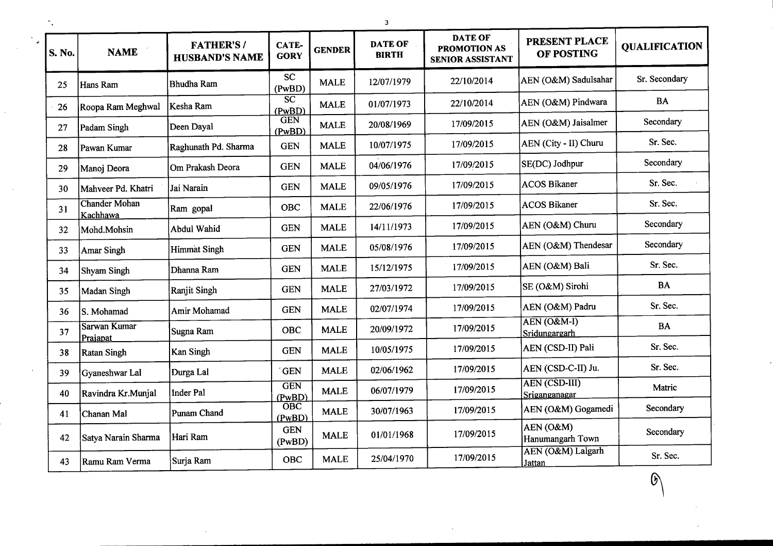| S. No. | <b>NAME</b>                      | <b>FATHER'S/</b><br><b>HUSBAND'S NAME</b> | CATE-<br><b>GORY</b>             | <b>GENDER</b> | <b>DATE OF</b><br><b>BIRTH</b> | <b>DATE OF</b><br>PROMOTION AS<br><b>SENIOR ASSISTANT</b> | PRESENT PLACE<br>OF POSTING           | <b>QUALIFICATION</b> |
|--------|----------------------------------|-------------------------------------------|----------------------------------|---------------|--------------------------------|-----------------------------------------------------------|---------------------------------------|----------------------|
| 25     | Hans Ram                         | <b>Bhudha Ram</b>                         | <b>SC</b><br>(PwBD)              | <b>MALE</b>   | 12/07/1979                     | 22/10/2014                                                | AEN (O&M) Sadulsahar                  | Sr. Secondary        |
| 26     | Roopa Ram Meghwal                | Kesha Ram                                 | $\overline{\text{sc}}$<br>(PwBD) | <b>MALE</b>   | 01/07/1973                     | 22/10/2014                                                | AEN (O&M) Pindwara                    | <b>BA</b>            |
| 27     | Padam Singh                      | Deen Dayal                                | <b>GEN</b><br>(PwBD)             | <b>MALE</b>   | 20/08/1969                     | 17/09/2015                                                | AEN (O&M) Jaisalmer                   | Secondary            |
| 28     | Pawan Kumar                      | Raghunath Pd. Sharma                      | <b>GEN</b>                       | <b>MALE</b>   | 10/07/1975                     | 17/09/2015                                                | AEN (City - II) Churu                 | Sr. Sec.             |
| 29     | Manoj Deora                      | Om Prakash Deora                          | <b>GEN</b>                       | <b>MALE</b>   | 04/06/1976                     | 17/09/2015                                                | SE(DC) Jodhpur                        | Secondary            |
| 30     | Mahveer Pd. Khatri               | Jai Narain                                | <b>GEN</b>                       | <b>MALE</b>   | 09/05/1976                     | 17/09/2015                                                | <b>ACOS Bikaner</b>                   | Sr. Sec.             |
| 31     | <b>Chander Mohan</b><br>Kachhawa | Ram gopal                                 | OBC                              | <b>MALE</b>   | 22/06/1976                     | 17/09/2015                                                | <b>ACOS Bikaner</b>                   | Sr. Sec.             |
| 32     | Mohd.Mohsin                      | Abdul Wahid                               | <b>GEN</b>                       | <b>MALE</b>   | 14/11/1973                     | 17/09/2015                                                | AEN (O&M) Churu                       | Secondary            |
| 33     | Amar Singh                       | <b>Himmat Singh</b>                       | <b>GEN</b>                       | <b>MALE</b>   | 05/08/1976                     | 17/09/2015                                                | AEN (O&M) Thendesar                   | Secondary            |
| 34     | Shyam Singh                      | Dhanna Ram                                | <b>GEN</b>                       | <b>MALE</b>   | 15/12/1975                     | 17/09/2015                                                | AEN (O&M) Bali                        | Sr. Sec.             |
| 35     | Madan Singh                      | Ranjit Singh                              | <b>GEN</b>                       | <b>MALE</b>   | 27/03/1972                     | 17/09/2015                                                | SE (O&M) Sirohi                       | <b>BA</b>            |
| 36     | S. Mohamad                       | Amir Mohamad                              | <b>GEN</b>                       | <b>MALE</b>   | 02/07/1974                     | 17/09/2015                                                | AEN (O&M) Padru                       | Sr. Sec.             |
| 37     | Sarwan Kumar<br>Prajapat         | Sugna Ram                                 | <b>OBC</b>                       | <b>MALE</b>   | 20/09/1972                     | 17/09/2015                                                | AEN (O&M-I)<br>Sridungargarh          | <b>BA</b>            |
| 38     | <b>Ratan Singh</b>               | Kan Singh                                 | <b>GEN</b>                       | <b>MALE</b>   | 10/05/1975                     | 17/09/2015                                                | AEN (CSD-II) Pali                     | Sr. Sec.             |
| 39     | Gyaneshwar Lal                   | Durga Lal                                 | <b>GEN</b>                       | <b>MALE</b>   | 02/06/1962                     | 17/09/2015                                                | AEN (CSD-C-II) Ju.                    | Sr. Sec.             |
| 40     | Ravindra Kr.Munjal               | <b>Inder Pal</b>                          | <b>GEN</b><br>(PwBD)             | <b>MALE</b>   | 06/07/1979                     | 17/09/2015                                                | <b>AEN (CSD-III)</b><br>Sriganganagar | Matric               |
| 41     | Chanan Mal                       | <b>Punam Chand</b>                        | $\overline{O}$ BC<br>(PwBD)      | <b>MALE</b>   | 30/07/1963                     | 17/09/2015                                                | AEN (O&M) Gogamedi                    | Secondary            |
| 42     | Satya Narain Sharma              | Hari Ram                                  | <b>GEN</b><br>(PwBD)             | <b>MALE</b>   | 01/01/1968                     | 17/09/2015                                                | AEN (O&M)<br>Hanumangarh Town         | Secondary            |
| 43     | Ramu Ram Verma                   | Surja Ram                                 | <b>OBC</b>                       | <b>MALE</b>   | 25/04/1970                     | 17/09/2015                                                | AEN (O&M) Lalgarh<br><b>Jattan</b>    | Sr. Sec.             |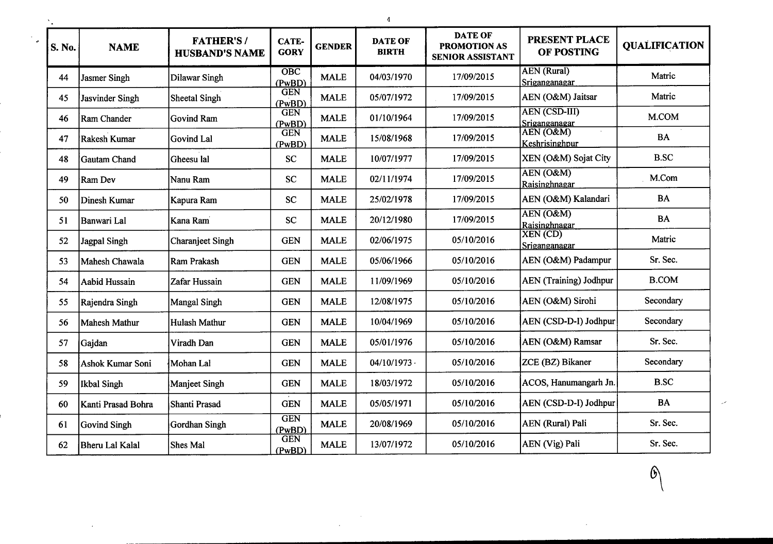| S. No. | <b>NAME</b>        | <b>FATHER'S/</b><br><b>HUSBAND'S NAME</b> | CATE-<br><b>GORY</b> | <b>GENDER</b> | <b>DATE OF</b><br><b>BIRTH</b> | <b>DATE OF</b><br><b>PROMOTION AS</b><br>SENIOR ASSISTANT | <b>PRESENT PLACE</b><br>OF POSTING    | <b>QUALIFICATION</b> |
|--------|--------------------|-------------------------------------------|----------------------|---------------|--------------------------------|-----------------------------------------------------------|---------------------------------------|----------------------|
| 44     | Jasmer Singh       | Dilawar Singh                             | OBC<br>(PwBD)        | <b>MALE</b>   | 04/03/1970                     | 17/09/2015                                                | <b>AEN</b> (Rural)<br>Sriganganagar   | Matric               |
| 45     | Jasvinder Singh    | Sheetal Singh                             | <b>GEN</b><br>(PwBD) | <b>MALE</b>   | 05/07/1972                     | 17/09/2015                                                | AEN (O&M) Jaitsar                     | Matric               |
| 46     | Ram Chander        | <b>Govind Ram</b>                         | <b>GEN</b><br>(PwBD) | <b>MALE</b>   | 01/10/1964                     | 17/09/2015                                                | <b>AEN (CSD-III)</b><br>Sriganganagar | M.COM                |
| 47     | Rakesh Kumar       | Govind Lal                                | <b>GEN</b><br>(PwBD) | <b>MALE</b>   | 15/08/1968                     | 17/09/2015                                                | AEN (O&M)<br>Keshrisinghpur           | <b>BA</b>            |
| 48     | Gautam Chand       | Gheesu lal                                | <b>SC</b>            | <b>MALE</b>   | 10/07/1977                     | 17/09/2015                                                | XEN (O&M) Sojat City                  | <b>B.SC</b>          |
| 49     | Ram Dev            | Nanu Ram                                  | <b>SC</b>            | <b>MALE</b>   | 02/11/1974                     | 17/09/2015                                                | AEN (O&M)<br>Raisinghnagar            | M.Com                |
| 50     | Dinesh Kumar       | Kapura Ram                                | SC                   | <b>MALE</b>   | 25/02/1978                     | 17/09/2015                                                | AEN (O&M) Kalandari                   | <b>BA</b>            |
| 51     | Banwari Lal        | Kana Ram                                  | SC                   | <b>MALE</b>   | 20/12/1980                     | 17/09/2015                                                | AEN (O&M)<br>Raisinghnagar            | <b>BA</b>            |
| 52     | Jagpal Singh       | <b>Charanjeet Singh</b>                   | <b>GEN</b>           | <b>MALE</b>   | 02/06/1975                     | 05/10/2016                                                | XEN (CD)<br>Sriganganagar             | Matric               |
| 53     | Mahesh Chawala     | Ram Prakash                               | <b>GEN</b>           | <b>MALE</b>   | 05/06/1966                     | 05/10/2016                                                | AEN (O&M) Padampur                    | Sr. Sec.             |
| 54     | Aabid Hussain      | Zafar Hussain                             | <b>GEN</b>           | <b>MALE</b>   | 11/09/1969                     | 05/10/2016                                                | <b>AEN</b> (Training) Jodhpur         | <b>B.COM</b>         |
| 55     | Rajendra Singh     | Mangal Singh                              | <b>GEN</b>           | <b>MALE</b>   | 12/08/1975                     | 05/10/2016                                                | AEN (O&M) Sirohi                      | Secondary            |
| 56     | Mahesh Mathur      | Hulash Mathur                             | <b>GEN</b>           | <b>MALE</b>   | 10/04/1969                     | 05/10/2016                                                | AEN (CSD-D-I) Jodhpur                 | Secondary            |
| 57     | Gajdan             | Viradh Dan                                | <b>GEN</b>           | <b>MALE</b>   | 05/01/1976                     | 05/10/2016                                                | AEN (O&M) Ramsar                      | Sr. Sec.             |
| 58     | Ashok Kumar Soni   | Mohan Lal                                 | <b>GEN</b>           | <b>MALE</b>   | $04/10/1973$ .                 | 05/10/2016                                                | ZCE (BZ) Bikaner                      | Secondary            |
| 59     | Ikbal Singh        | <b>Manjeet Singh</b>                      | <b>GEN</b>           | <b>MALE</b>   | 18/03/1972                     | 05/10/2016                                                | ACOS, Hanumangarh Jn.                 | <b>B.SC</b>          |
| 60     | Kanti Prasad Bohra | Shanti Prasad                             | <b>GEN</b>           | <b>MALE</b>   | 05/05/1971                     | 05/10/2016                                                | AEN (CSD-D-I) Jodhpur                 | <b>BA</b>            |
| 61     | Govind Singh       | Gordhan Singh                             | <b>GEN</b><br>(PwBD) | <b>MALE</b>   | 20/08/1969                     | 05/10/2016                                                | <b>AEN</b> (Rural) Pali               | Sr. Sec.             |
| 62     | Bheru Lal Kalal    | Shes Mal                                  | <b>GEN</b><br>(PwBD) | <b>MALE</b>   | 13/07/1972                     | 05/10/2016                                                | AEN (Vig) Pali                        | Sr. Sec.             |

 $\sim$ 

4

 $\mathcal{O}$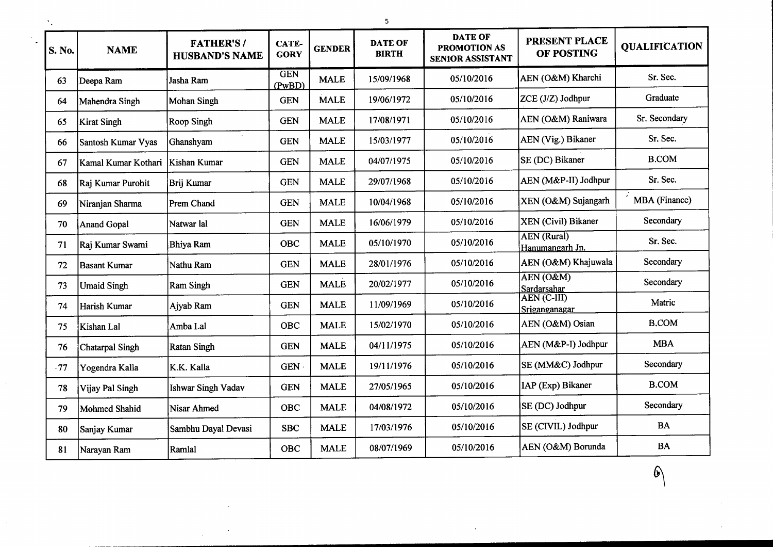| S. No. | <b>NAME</b>            | <b>FATHER'S/</b><br><b>HUSBAND'S NAME</b> | CATE-<br><b>GORY</b> | <b>GENDER</b> | <b>DATE OF</b><br><b>BIRTH</b> | <b>DATE OF</b><br>PROMOTION AS<br><b>SENIOR ASSISTANT</b> | PRESENT PLACE<br>OF POSTING                         | <b>OUALIFICATION</b> |
|--------|------------------------|-------------------------------------------|----------------------|---------------|--------------------------------|-----------------------------------------------------------|-----------------------------------------------------|----------------------|
| 63     | Deepa Ram              | Jasha Ram                                 | <b>GEN</b><br>(PwBD) | <b>MALE</b>   | 15/09/1968                     | 05/10/2016                                                | AEN (O&M) Kharchi                                   | Sr. Sec.             |
| 64     | Mahendra Singh         | <b>Mohan Singh</b>                        | <b>GEN</b>           | <b>MALE</b>   | 19/06/1972                     | 05/10/2016                                                | ZCE (J/Z) Jodhpur                                   | Graduate             |
| 65     | Kirat Singh            | Roop Singh                                | <b>GEN</b>           | <b>MALE</b>   | 17/08/1971                     | 05/10/2016                                                | AEN (O&M) Raniwara                                  | Sr. Secondary        |
| 66     | Santosh Kumar Vyas     | Ghanshyam                                 | <b>GEN</b>           | <b>MALE</b>   | 15/03/1977                     | 05/10/2016                                                | AEN (Vig.) Bikaner                                  | Sr. Sec.             |
| 67     | Kamal Kumar Kothari    | Kishan Kumar                              | <b>GEN</b>           | <b>MALE</b>   | 04/07/1975                     | 05/10/2016                                                | SE (DC) Bikaner                                     | <b>B.COM</b>         |
| 68     | Raj Kumar Purohit      | Brij Kumar                                | <b>GEN</b>           | <b>MALE</b>   | 29/07/1968                     | 05/10/2016                                                | AEN (M&P-II) Jodhpur                                | Sr. Sec.             |
| 69     | Niranjan Sharma        | <b>Prem Chand</b>                         | <b>GEN</b>           | <b>MALE</b>   | 10/04/1968                     | 05/10/2016                                                | XEN (O&M) Sujangarh                                 | MBA (Finance)        |
| 70     | Anand Gopal            | Natwar lal                                | <b>GEN</b>           | <b>MALE</b>   | 16/06/1979                     | 05/10/2016                                                | XEN (Civil) Bikaner                                 | Secondary            |
| 71     | Raj Kumar Swami        | <b>Bhiya Ram</b>                          | <b>OBC</b>           | <b>MALE</b>   | 05/10/1970                     | 05/10/2016                                                | <b>AEN</b> (Rural)<br>Hanumangarh Jn.               | Sr. Sec.             |
| 72     | <b>Basant Kumar</b>    | Nathu Ram                                 | <b>GEN</b>           | <b>MALE</b>   | 28/01/1976                     | 05/10/2016                                                | AEN (O&M) Khajuwala                                 | Secondary            |
| 73     | <b>Umaid Singh</b>     | <b>Ram Singh</b>                          | <b>GEN</b>           | <b>MALE</b>   | 20/02/1977                     | 05/10/2016                                                | $\overline{\text{AEN}(\text{O\&M})}$<br>Sardarsahar | Secondary            |
| 74     | Harish Kumar           | Ajyab Ram                                 | <b>GEN</b>           | <b>MALE</b>   | 11/09/1969                     | 05/10/2016                                                | AEN (C-III)<br>Sriganganagar                        | Matric               |
| 75     | Kishan Lal             | Amba Lal                                  | <b>OBC</b>           | <b>MALE</b>   | 15/02/1970                     | 05/10/2016                                                | AEN (O&M) Osian                                     | <b>B.COM</b>         |
| 76     | <b>Chatarpal Singh</b> | <b>Ratan Singh</b>                        | <b>GEN</b>           | <b>MALE</b>   | 04/11/1975                     | 05/10/2016                                                | AEN (M&P-I) Jodhpur                                 | <b>MBA</b>           |
| .77    | Yogendra Kalla         | K.K. Kalla                                | GEN ·                | <b>MALE</b>   | 19/11/1976                     | 05/10/2016                                                | SE (MM&C) Jodhpur                                   | Secondary            |
| 78     | Vijay Pal Singh        | <b>Ishwar Singh Vadav</b>                 | <b>GEN</b>           | <b>MALE</b>   | 27/05/1965                     | 05/10/2016                                                | IAP (Exp) Bikaner                                   | <b>B.COM</b>         |
| 79     | Mohmed Shahid          | <b>Nisar Ahmed</b>                        | <b>OBC</b>           | <b>MALE</b>   | 04/08/1972                     | 05/10/2016                                                | SE (DC) Jodhpur                                     | Secondary            |
| 80     | Sanjay Kumar           | Sambhu Dayal Devasi                       | <b>SBC</b>           | <b>MALE</b>   | 17/03/1976                     | 05/10/2016                                                | SE (CIVIL) Jodhpur                                  | <b>BA</b>            |
| 81     | Narayan Ram            | Ramlal                                    | <b>OBC</b>           | <b>MALE</b>   | 08/07/1969                     | 05/10/2016                                                | AEN (O&M) Borunda                                   | <b>BA</b>            |

 $\odot$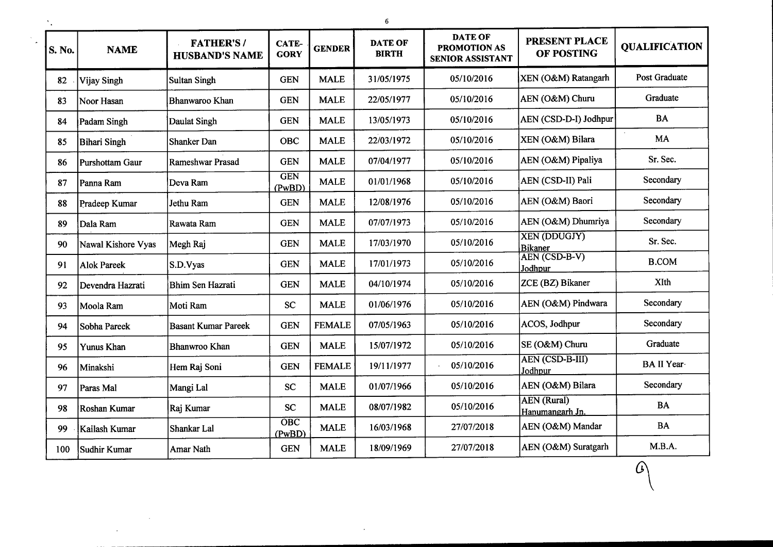| S. No. | <b>NAME</b>        | <b>FATHER'S/</b><br><b>HUSBAND'S NAME</b> | <b>CATE-</b><br><b>GORY</b> | <b>GENDER</b> | <b>DATE OF</b><br><b>BIRTH</b> | <b>DATE OF</b><br>PROMOTION AS<br><b>SENIOR ASSISTANT</b> | <b>PRESENT PLACE</b><br>OF POSTING    | <b>QUALIFICATION</b> |
|--------|--------------------|-------------------------------------------|-----------------------------|---------------|--------------------------------|-----------------------------------------------------------|---------------------------------------|----------------------|
| 82     | Vijay Singh        | <b>Sultan Singh</b>                       | <b>GEN</b>                  | <b>MALE</b>   | 31/05/1975                     | 05/10/2016                                                | XEN (O&M) Ratangarh                   | Post Graduate        |
| 83     | Noor Hasan         | Bhanwaroo Khan                            | <b>GEN</b>                  | <b>MALE</b>   | 22/05/1977                     | 05/10/2016                                                | AEN (O&M) Churu                       | Graduate             |
| 84     | Padam Singh        | Daulat Singh                              | <b>GEN</b>                  | <b>MALE</b>   | 13/05/1973                     | 05/10/2016                                                | AEN (CSD-D-I) Jodhpur                 | <b>BA</b>            |
| 85     | Bihari Singh       | Shanker Dan                               | <b>OBC</b>                  | <b>MALE</b>   | 22/03/1972                     | 05/10/2016                                                | XEN (O&M) Bilara                      | <b>MA</b>            |
| 86     | Purshottam Gaur    | Rameshwar Prasad                          | <b>GEN</b>                  | <b>MALE</b>   | 07/04/1977                     | 05/10/2016                                                | AEN (O&M) Pipaliya                    | Sr. Sec.             |
| 87     | Panna Ram          | Deva Ram                                  | <b>GEN</b><br>(PwBD)        | <b>MALE</b>   | 01/01/1968                     | 05/10/2016                                                | AEN (CSD-II) Pali                     | Secondary            |
| 88     | Pradeep Kumar      | Jethu Ram                                 | <b>GEN</b>                  | <b>MALE</b>   | 12/08/1976                     | 05/10/2016                                                | AEN (O&M) Baori                       | Secondary            |
| 89     | Dala Ram           | Rawata Ram                                | <b>GEN</b>                  | <b>MALE</b>   | 07/07/1973                     | 05/10/2016                                                | AEN (O&M) Dhumriya                    | Secondary            |
| 90     | Nawal Kishore Vyas | Megh Raj                                  | <b>GEN</b>                  | <b>MALE</b>   | 17/03/1970                     | 05/10/2016                                                | <b>XEN (DDUGJY)</b><br><b>Bikaner</b> | Sr. Sec.             |
| 91     | <b>Alok Pareek</b> | S.D.Vyas                                  | <b>GEN</b>                  | <b>MALE</b>   | 17/01/1973                     | 05/10/2016                                                | AEN (CSD-B-V)<br>Jodhpur              | <b>B.COM</b>         |
| 92     | Devendra Hazrati   | <b>Bhim Sen Hazrati</b>                   | <b>GEN</b>                  | <b>MALE</b>   | 04/10/1974                     | 05/10/2016                                                | ZCE (BZ) Bikaner                      | XIth                 |
| 93     | Moola Ram          | Moti Ram                                  | <b>SC</b>                   | <b>MALE</b>   | 01/06/1976                     | 05/10/2016                                                | AEN (O&M) Pindwara                    | Secondary            |
| 94     | Sobha Pareek       | <b>Basant Kumar Pareek</b>                | <b>GEN</b>                  | <b>FEMALE</b> | 07/05/1963                     | 05/10/2016                                                | ACOS, Jodhpur                         | Secondary            |
| 95     | Yunus Khan         | Bhanwroo Khan                             | <b>GEN</b>                  | <b>MALE</b>   | 15/07/1972                     | 05/10/2016                                                | SE (O&M) Churu                        | Graduate             |
| 96     | Minakshi           | Hem Raj Soni                              | <b>GEN</b>                  | <b>FEMALE</b> | 19/11/1977                     | 05/10/2016                                                | <b>AEN (CSD-B-III)</b><br>Jodhpur     | BA II Year           |
| 97     | Paras Mal          | Mangi Lal                                 | <b>SC</b>                   | <b>MALE</b>   | 01/07/1966                     | 05/10/2016                                                | AEN (O&M) Bilara                      | Secondary            |
| 98     | Roshan Kumar       | Raj Kumar                                 | <b>SC</b>                   | <b>MALE</b>   | 08/07/1982                     | 05/10/2016                                                | <b>AEN</b> (Rural)<br>Hanumangarh Jn. | <b>BA</b>            |
| 99     | Kailash Kumar      | Shankar Lal                               | $\overline{O}$ BC<br>(PwBD) | <b>MALE</b>   | 16/03/1968                     | 27/07/2018                                                | AEN (O&M) Mandar                      | <b>BA</b>            |
| 100    | Sudhir Kumar       | Amar Nath                                 | <b>GEN</b>                  | <b>MALE</b>   | 18/09/1969                     | 27/07/2018                                                | AEN (O&M) Suratgarh                   | M.B.A.               |

 $\omega$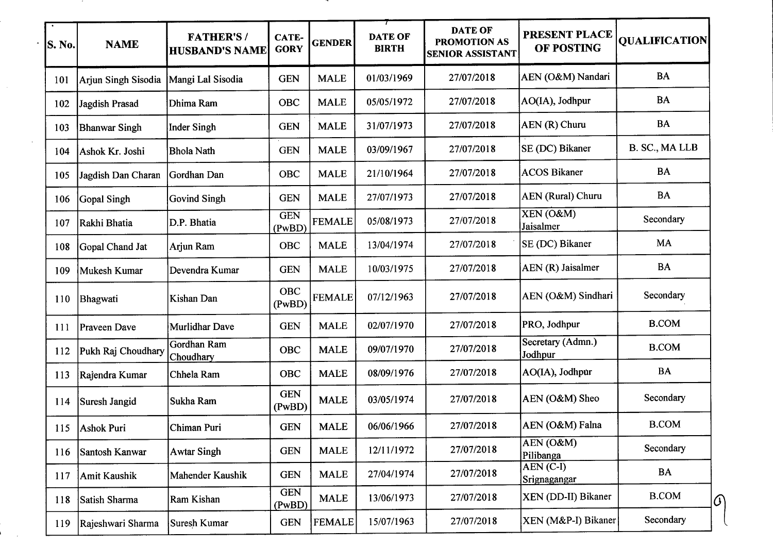| S. No. | <b>NAME</b>          | <b>FATHER'S/</b><br><b>HUSBAND'S NAME</b> | CATE-<br><b>GORY</b> | <b>GENDER</b> | <b>DATE OF</b><br><b>BIRTH</b> | <b>DATE OF</b><br><b>PROMOTION AS</b><br><b>SENIOR ASSISTANT</b> | <b>PRESENT PLACE</b><br><b>OF POSTING</b> | <b>QUALIFICATION</b> |
|--------|----------------------|-------------------------------------------|----------------------|---------------|--------------------------------|------------------------------------------------------------------|-------------------------------------------|----------------------|
| 101    | Arjun Singh Sisodia  | Mangi Lal Sisodia                         | <b>GEN</b>           | <b>MALE</b>   | 01/03/1969                     | 27/07/2018                                                       | AEN (O&M) Nandari                         | <b>BA</b>            |
| 102    | Jagdish Prasad       | Dhima Ram                                 | OBC                  | <b>MALE</b>   | 05/05/1972                     | 27/07/2018                                                       | AO(IA), Jodhpur                           | BA                   |
| 103    | <b>Bhanwar Singh</b> | <b>Inder Singh</b>                        | <b>GEN</b>           | <b>MALE</b>   | 31/07/1973                     | 27/07/2018                                                       | AEN (R) Churu                             | <b>BA</b>            |
| 104    | Ashok Kr. Joshi      | <b>Bhola Nath</b>                         | <b>GEN</b>           | <b>MALE</b>   | 03/09/1967                     | 27/07/2018                                                       | SE (DC) Bikaner                           | B. SC., MA LLB       |
| 105    | Jagdish Dan Charan   | Gordhan Dan                               | OBC                  | <b>MALE</b>   | 21/10/1964                     | 27/07/2018                                                       | <b>ACOS Bikaner</b>                       | <b>BA</b>            |
| 106    | Gopal Singh          | <b>Govind Singh</b>                       | <b>GEN</b>           | <b>MALE</b>   | 27/07/1973                     | 27/07/2018                                                       | <b>AEN</b> (Rural) Churu                  | <b>BA</b>            |
| 107    | Rakhi Bhatia         | D.P. Bhatia                               | <b>GEN</b><br>(PwBD) | <b>FEMALE</b> | 05/08/1973                     | 27/07/2018                                                       | XEN (O&M)<br>Jaisalmer                    | Secondary            |
| 108    | Gopal Chand Jat      | Arjun Ram                                 | OBC                  | <b>MALE</b>   | 13/04/1974                     | 27/07/2018                                                       | SE (DC) Bikaner                           | MA                   |
| 109    | Mukesh Kumar         | Devendra Kumar                            | <b>GEN</b>           | <b>MALE</b>   | 10/03/1975                     | 27/07/2018                                                       | AEN (R) Jaisalmer                         | <b>BA</b>            |
| 110    | Bhagwati             | Kishan Dan                                | <b>OBC</b><br>(PwBD) | <b>FEMALE</b> | 07/12/1963                     | 27/07/2018                                                       | AEN (O&M) Sindhari                        | Secondary            |
| 111    | Praveen Dave         | <b>Murlidhar Dave</b>                     | <b>GEN</b>           | <b>MALE</b>   | 02/07/1970                     | 27/07/2018                                                       | PRO, Jodhpur                              | <b>B.COM</b>         |
| 112    | Pukh Raj Choudhary   | Gordhan Ram<br>Choudhary                  | <b>OBC</b>           | <b>MALE</b>   | 09/07/1970                     | 27/07/2018                                                       | Secretary (Admn.)<br>Jodhpur              | <b>B.COM</b>         |
| 113    | Rajendra Kumar       | Chhela Ram                                | <b>OBC</b>           | <b>MALE</b>   | 08/09/1976                     | 27/07/2018                                                       | AO(IA), Jodhpur                           | <b>BA</b>            |
| 114    | Suresh Jangid        | Sukha Ram                                 | <b>GEN</b><br>(PwBD) | <b>MALE</b>   | 03/05/1974                     | 27/07/2018                                                       | AEN (O&M) Sheo                            | Secondary            |
|        | 115 Ashok Puri       | Chiman Puri                               | <b>GEN</b>           | <b>MALE</b>   | 06/06/1966                     | 27/07/2018                                                       | AEN (O&M) Falna                           | <b>B.COM</b>         |
| 116    | Santosh Kanwar       | <b>Awtar Singh</b>                        | <b>GEN</b>           | <b>MALE</b>   | 12/11/1972                     | 27/07/2018                                                       | AEN (O&M)<br>Pilibanga                    | Secondary            |
| 117    | Amit Kaushik         | Mahender Kaushik                          | <b>GEN</b>           | <b>MALE</b>   | 27/04/1974                     | 27/07/2018                                                       | $\overline{AEN}$ (C-I)<br>Srignagangar    | <b>BA</b>            |
| 118    | Satish Sharma        | Ram Kishan                                | <b>GEN</b><br>(PwBD) | <b>MALE</b>   | 13/06/1973                     | 27/07/2018                                                       | XEN (DD-II) Bikaner                       | <b>B.COM</b>         |
| 119    | Rajeshwari Sharma    | Suresh Kumar                              | <b>GEN</b>           | FEMALE        | 15/07/1963                     | 27/07/2018                                                       | XEN (M&P-I) Bikaner                       | Secondary            |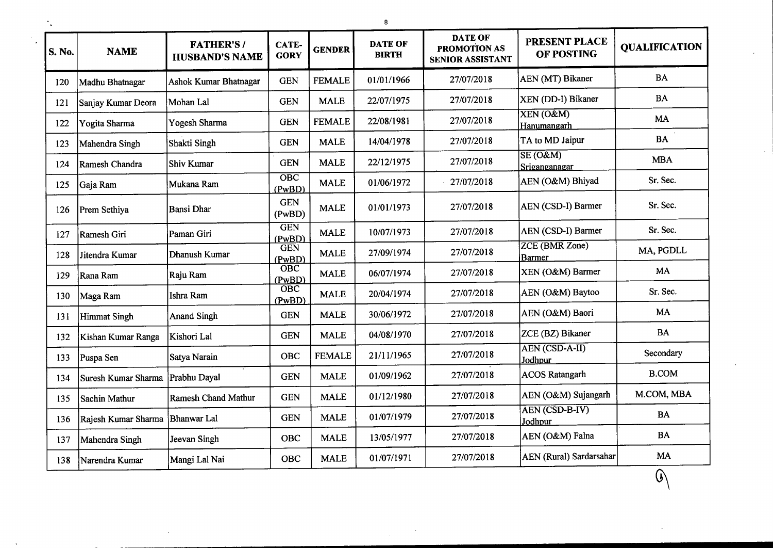| S. No. | <b>NAME</b>         | <b>FATHER'S/</b><br><b>HUSBAND'S NAME</b> | CATE-<br><b>GORY</b>                | <b>GENDER</b> | <b>DATE OF</b><br><b>BIRTH</b> | <b>DATE OF</b><br><b>PROMOTION AS</b><br><b>SENIOR ASSISTANT</b> | PRESENT PLACE<br>OF POSTING            | <b>OUALIFICATION</b> |
|--------|---------------------|-------------------------------------------|-------------------------------------|---------------|--------------------------------|------------------------------------------------------------------|----------------------------------------|----------------------|
| 120    | Madhu Bhatnagar     | <b>Ashok Kumar Bhatnagar</b>              | <b>GEN</b>                          | <b>FEMALE</b> | 01/01/1966                     | 27/07/2018                                                       | AEN (MT) Bikaner                       | <b>BA</b>            |
| 121    | Sanjay Kumar Deora  | Mohan Lal                                 | <b>GEN</b>                          | <b>MALE</b>   | 22/07/1975                     | 27/07/2018                                                       | XEN (DD-I) Bikaner                     | <b>BA</b>            |
| 122    | Yogita Sharma       | Yogesh Sharma                             | <b>GEN</b>                          | <b>FEMALE</b> | 22/08/1981                     | 27/07/2018                                                       | XEN (O&M)<br>Han <u>umangarh</u>       | MA                   |
| 123    | Mahendra Singh      | Shakti Singh                              | <b>GEN</b>                          | <b>MALE</b>   | 14/04/1978                     | 27/07/2018                                                       | TA to MD Jaipur                        | <b>BA</b>            |
| 124    | Ramesh Chandra      | <b>Shiv Kumar</b>                         | <b>GEN</b>                          | <b>MALE</b>   | 22/12/1975                     | 27/07/2018                                                       | SE(O&M)<br>Sriganganagar               | <b>MBA</b>           |
| 125    | Gaja Ram            | Mukana Ram                                | $\overline{OBC}$<br>(PwBD)          | <b>MALE</b>   | 01/06/1972                     | 27/07/2018                                                       | AEN (O&M) Bhiyad                       | Sr. Sec.             |
| 126    | Prem Sethiya        | <b>Bansi Dhar</b>                         | <b>GEN</b><br>(PwBD)                | <b>MALE</b>   | 01/01/1973                     | 27/07/2018                                                       | AEN (CSD-I) Barmer                     | Sr. Sec.             |
| 127    | Ramesh Giri         | Paman Giri                                | <b>GEN</b><br>(PwBD)                | <b>MALE</b>   | 10/07/1973                     | 27/07/2018                                                       | AEN (CSD-I) Barmer                     | Sr. Sec.             |
| 128    | Jitendra Kumar      | Dhanush Kumar                             | <b>GEN</b><br>(PwBD)                | <b>MALE</b>   | 27/09/1974                     | 27/07/2018                                                       | <b>ZCE (BMR Zone)</b><br><b>Barmer</b> | MA, PGDLL            |
| 129    | Rana Ram            | Raju Ram                                  | $\overline{\mathrm{OBC}}$<br>(PwBD) | <b>MALE</b>   | 06/07/1974                     | 27/07/2018                                                       | XEN (O&M) Barmer                       | MA                   |
| 130    | Maga Ram            | Ishra Ram                                 | $\overline{\mathrm{OBC}}$<br>(PwBD) | <b>MALE</b>   | 20/04/1974                     | 27/07/2018                                                       | AEN (O&M) Baytoo                       | Sr. Sec.             |
| 131    | <b>Himmat Singh</b> | <b>Anand Singh</b>                        | <b>GEN</b>                          | <b>MALE</b>   | 30/06/1972                     | 27/07/2018                                                       | AEN (O&M) Baori                        | MA                   |
| 132    | Kishan Kumar Ranga  | Kishori Lal                               | <b>GEN</b>                          | <b>MALE</b>   | 04/08/1970                     | 27/07/2018                                                       | ZCE (BZ) Bikaner                       | <b>BA</b>            |
| 133    | Puspa Sen           | Satya Narain                              | <b>OBC</b>                          | <b>FEMALE</b> | 21/11/1965                     | 27/07/2018                                                       | AEN (CSD-A-II)<br>Jodhpur              | Secondary            |
| 134    | Suresh Kumar Sharma | Prabhu Dayal                              | <b>GEN</b>                          | <b>MALE</b>   | 01/09/1962                     | 27/07/2018                                                       | <b>ACOS Ratangarh</b>                  | <b>B.COM</b>         |
| 135    | Sachin Mathur       | <b>Ramesh Chand Mathur</b>                | <b>GEN</b>                          | <b>MALE</b>   | 01/12/1980                     | 27/07/2018                                                       | AEN (O&M) Sujangarh                    | M.COM, MBA           |
| 136    | Rajesh Kumar Sharma | <b>Bhanwar</b> Lal                        | <b>GEN</b>                          | <b>MALE</b>   | 01/07/1979                     | 27/07/2018                                                       | AEN (CSD-B-IV)<br>Jodhpur              | <b>BA</b>            |
| 137    | Mahendra Singh      | Jeevan Singh                              | OBC                                 | <b>MALE</b>   | 13/05/1977                     | 27/07/2018                                                       | AEN (O&M) Falna                        | <b>BA</b>            |
| 138    | Narendra Kumar      | Mangi Lal Nai                             | <b>OBC</b>                          | <b>MALE</b>   | 01/07/1971                     | 27/07/2018                                                       | <b>AEN</b> (Rural) Sardarsahar         | MA                   |
|        |                     |                                           |                                     |               |                                |                                                                  |                                        | $\, \mathbb{G} \,$   |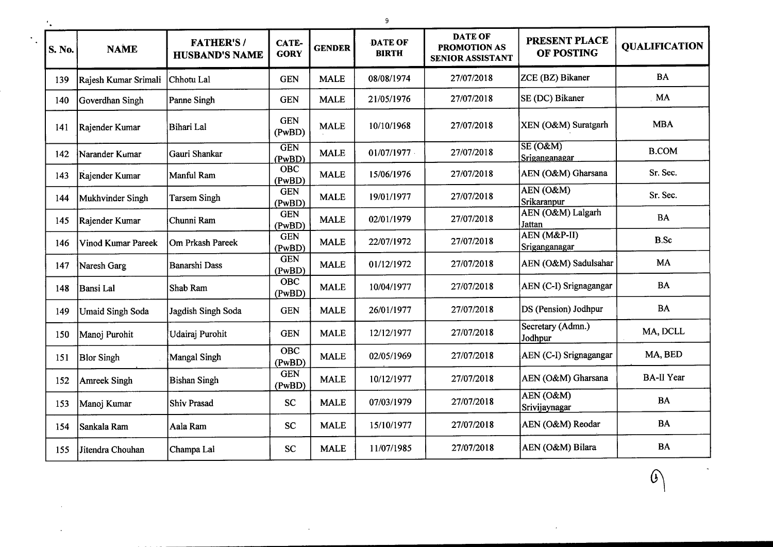| S. No. | <b>NAME</b>               | <b>FATHER'S/</b><br><b>HUSBAND'S NAME</b> | CATE-<br><b>GORY</b> | <b>GENDER</b> | <b>DATE OF</b><br><b>BIRTH</b> | <b>DATE OF</b><br><b>PROMOTION AS</b><br><b>SENIOR ASSISTANT</b> | <b>PRESENT PLACE</b><br>OF POSTING | <b>QUALIFICATION</b> |
|--------|---------------------------|-------------------------------------------|----------------------|---------------|--------------------------------|------------------------------------------------------------------|------------------------------------|----------------------|
| 139    | Rajesh Kumar Srimali      | Chhotu Lal                                | <b>GEN</b>           | <b>MALE</b>   | 08/08/1974                     | 27/07/2018                                                       | ZCE (BZ) Bikaner                   | <b>BA</b>            |
| 140    | Goverdhan Singh           | Panne Singh                               | <b>GEN</b>           | <b>MALE</b>   | 21/05/1976                     | 27/07/2018                                                       | SE (DC) Bikaner                    | MA                   |
| 141    | Rajender Kumar            | Bihari Lal                                | <b>GEN</b><br>(PwBD) | <b>MALE</b>   | 10/10/1968                     | 27/07/2018                                                       | XEN (O&M) Suratgarh                | <b>MBA</b>           |
| 142    | Narander Kumar            | Gauri Shankar                             | <b>GEN</b><br>(PwBD) | <b>MALE</b>   | 01/07/1977                     | 27/07/2018                                                       | $SE(0\&M)$<br>Sriganganagar        | <b>B.COM</b>         |
| 143    | Rajender Kumar            | Manful Ram                                | <b>OBC</b><br>(PwBD) | <b>MALE</b>   | 15/06/1976                     | 27/07/2018                                                       | AEN (O&M) Gharsana                 | Sr. Sec.             |
| 144    | Mukhvinder Singh          | <b>Tarsem Singh</b>                       | <b>GEN</b><br>(PwBD) | <b>MALE</b>   | 19/01/1977                     | 27/07/2018                                                       | AEN(O&M)<br>Srikaranpur            | Sr. Sec.             |
| 145    | Rajender Kumar            | Chunni Ram                                | <b>GEN</b><br>(PwBD) | <b>MALE</b>   | 02/01/1979                     | 27/07/2018                                                       | AEN (O&M) Lalgarh<br>Jattan        | <b>BA</b>            |
| 146    | <b>Vinod Kumar Pareek</b> | Om Prkash Pareek                          | <b>GEN</b><br>(PwBD) | <b>MALE</b>   | 22/07/1972                     | 27/07/2018                                                       | AEN (M&P-II)<br>Sriganganagar      | <b>B.Sc</b>          |
| 147    | Naresh Garg               | <b>Banarshi Dass</b>                      | <b>GEN</b><br>(PwBD) | <b>MALE</b>   | 01/12/1972                     | 27/07/2018                                                       | AEN (O&M) Sadulsahar               | MA                   |
| 148    | Bansi Lal                 | Shab Ram                                  | <b>OBC</b><br>(PwBD) | <b>MALE</b>   | 10/04/1977                     | 27/07/2018                                                       | AEN (C-I) Srignagangar             | <b>BA</b>            |
| 149    | <b>Umaid Singh Soda</b>   | Jagdish Singh Soda                        | <b>GEN</b>           | <b>MALE</b>   | 26/01/1977                     | 27/07/2018                                                       | DS (Pension) Jodhpur               | <b>BA</b>            |
| 150    | Manoj Purohit             | Udairaj Purohit                           | <b>GEN</b>           | <b>MALE</b>   | 12/12/1977                     | 27/07/2018                                                       | Secretary (Admn.)<br>Jodhpur       | MA, DCLL             |
| 151    | <b>Blor Singh</b>         | <b>Mangal Singh</b>                       | <b>OBC</b><br>(PwBD) | <b>MALE</b>   | 02/05/1969                     | 27/07/2018                                                       | AEN (C-I) Srignagangar             | MA, BED              |
| 152    | <b>Amreek Singh</b>       | <b>Bishan Singh</b>                       | <b>GEN</b><br>(PwBD) | <b>MALE</b>   | 10/12/1977                     | 27/07/2018                                                       | AEN (O&M) Gharsana                 | <b>BA-II Year</b>    |
| 153    | Manoj Kumar               | <b>Shiv Prasad</b>                        | <b>SC</b>            | <b>MALE</b>   | 07/03/1979                     | 27/07/2018                                                       | AEN (O&M)<br>Srivijaynagar         | <b>BA</b>            |
| 154    | Sankala Ram               | Aala Ram                                  | <b>SC</b>            | <b>MALE</b>   | 15/10/1977                     | 27/07/2018                                                       | AEN (O&M) Reodar                   | <b>BA</b>            |
| 155    | Jitendra Chouhan          | Champa Lal                                | <b>SC</b>            | <b>MALE</b>   | 11/07/1985                     | 27/07/2018                                                       | AEN (O&M) Bilara                   | BA                   |

 $\mathcal{C}$